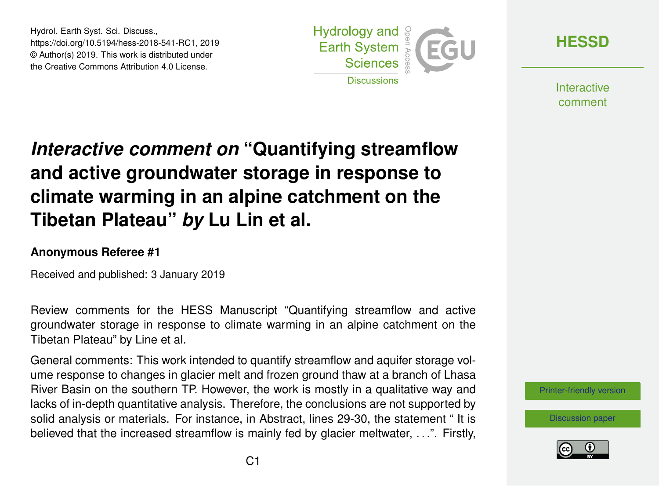Hydrol. Earth Syst. Sci. Discuss., https://doi.org/10.5194/hess-2018-541-RC1, 2019 © Author(s) 2019. This work is distributed under the Creative Commons Attribution 4.0 License.



**[HESSD](https://www.hydrol-earth-syst-sci-discuss.net/)**

**Interactive** comment

## *Interactive comment on* **"Quantifying streamflow and active groundwater storage in response to climate warming in an alpine catchment on the Tibetan Plateau"** *by* **Lu Lin et al.**

## **Anonymous Referee #1**

Received and published: 3 January 2019

Review comments for the HESS Manuscript "Quantifying streamflow and active groundwater storage in response to climate warming in an alpine catchment on the Tibetan Plateau" by Line et al.

General comments: This work intended to quantify streamflow and aquifer storage volume response to changes in glacier melt and frozen ground thaw at a branch of Lhasa River Basin on the southern TP. However, the work is mostly in a qualitative way and lacks of in-depth quantitative analysis. Therefore, the conclusions are not supported by solid analysis or materials. For instance, in Abstract, lines 29-30, the statement " It is believed that the increased streamflow is mainly fed by glacier meltwater, . . .". Firstly,



[Discussion paper](https://www.hydrol-earth-syst-sci-discuss.net/hess-2018-541)

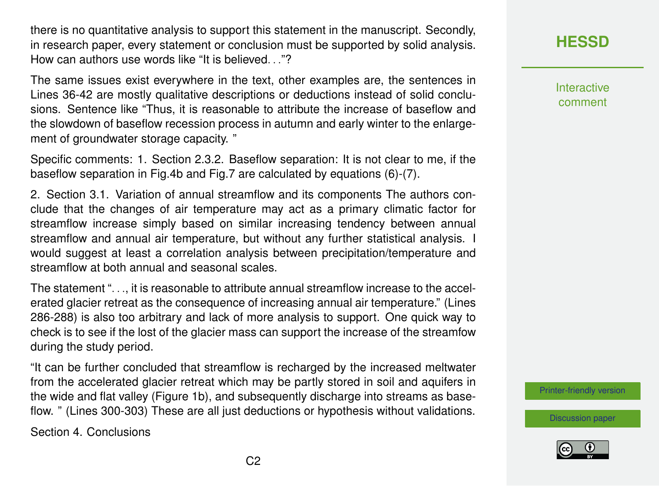there is no quantitative analysis to support this statement in the manuscript. Secondly, in research paper, every statement or conclusion must be supported by solid analysis. How can authors use words like "It is believed. . ."?

The same issues exist everywhere in the text, other examples are, the sentences in Lines 36-42 are mostly qualitative descriptions or deductions instead of solid conclusions. Sentence like "Thus, it is reasonable to attribute the increase of baseflow and the slowdown of baseflow recession process in autumn and early winter to the enlargement of groundwater storage capacity. "

Specific comments: 1. Section 2.3.2. Baseflow separation: It is not clear to me, if the baseflow separation in Fig.4b and Fig.7 are calculated by equations (6)-(7).

2. Section 3.1. Variation of annual streamflow and its components The authors conclude that the changes of air temperature may act as a primary climatic factor for streamflow increase simply based on similar increasing tendency between annual streamflow and annual air temperature, but without any further statistical analysis. I would suggest at least a correlation analysis between precipitation/temperature and streamflow at both annual and seasonal scales.

The statement ". . ., it is reasonable to attribute annual streamflow increase to the accelerated glacier retreat as the consequence of increasing annual air temperature." (Lines 286-288) is also too arbitrary and lack of more analysis to support. One quick way to check is to see if the lost of the glacier mass can support the increase of the streamfow during the study period.

"It can be further concluded that streamflow is recharged by the increased meltwater from the accelerated glacier retreat which may be partly stored in soil and aquifers in the wide and flat valley (Figure 1b), and subsequently discharge into streams as baseflow. " (Lines 300-303) These are all just deductions or hypothesis without validations.

Section 4. Conclusions

## **[HESSD](https://www.hydrol-earth-syst-sci-discuss.net/)**

**Interactive** comment

[Printer-friendly version](https://www.hydrol-earth-syst-sci-discuss.net/hess-2018-541/hess-2018-541-RC1-print.pdf)

[Discussion paper](https://www.hydrol-earth-syst-sci-discuss.net/hess-2018-541)